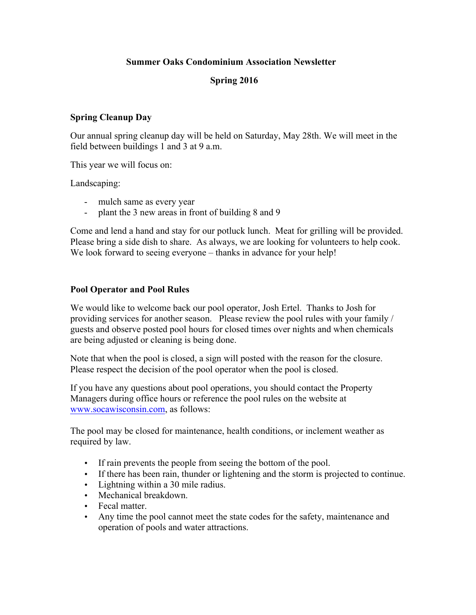# **Summer Oaks Condominium Association Newsletter**

# **Spring 2016**

#### **Spring Cleanup Day**

Our annual spring cleanup day will be held on Saturday, May 28th. We will meet in the field between buildings 1 and 3 at 9 a.m.

This year we will focus on:

Landscaping:

- mulch same as every year
- plant the 3 new areas in front of building 8 and 9

Come and lend a hand and stay for our potluck lunch. Meat for grilling will be provided. Please bring a side dish to share. As always, we are looking for volunteers to help cook. We look forward to seeing everyone – thanks in advance for your help!

#### **Pool Operator and Pool Rules**

We would like to welcome back our pool operator, Josh Ertel. Thanks to Josh for providing services for another season. Please review the pool rules with your family / guests and observe posted pool hours for closed times over nights and when chemicals are being adjusted or cleaning is being done.

Note that when the pool is closed, a sign will posted with the reason for the closure. Please respect the decision of the pool operator when the pool is closed.

If you have any questions about pool operations, you should contact the Property Managers during office hours or reference the pool rules on the website at www.socawisconsin.com, as follows:

The pool may be closed for maintenance, health conditions, or inclement weather as required by law.

- If rain prevents the people from seeing the bottom of the pool.
- If there has been rain, thunder or lightening and the storm is projected to continue.
- Lightning within a 30 mile radius.
- Mechanical breakdown.
- Fecal matter
- Any time the pool cannot meet the state codes for the safety, maintenance and operation of pools and water attractions.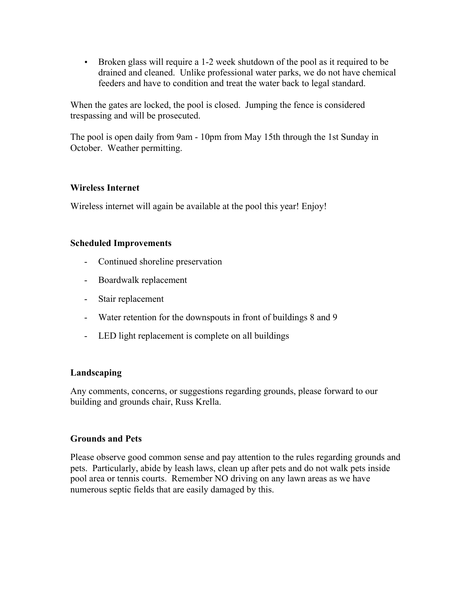• Broken glass will require a 1-2 week shutdown of the pool as it required to be drained and cleaned. Unlike professional water parks, we do not have chemical feeders and have to condition and treat the water back to legal standard.

When the gates are locked, the pool is closed. Jumping the fence is considered trespassing and will be prosecuted.

The pool is open daily from 9am - 10pm from May 15th through the 1st Sunday in October. Weather permitting.

# **Wireless Internet**

Wireless internet will again be available at the pool this year! Enjoy!

## **Scheduled Improvements**

- Continued shoreline preservation
- Boardwalk replacement
- Stair replacement
- Water retention for the downspouts in front of buildings 8 and 9
- LED light replacement is complete on all buildings

#### **Landscaping**

Any comments, concerns, or suggestions regarding grounds, please forward to our building and grounds chair, Russ Krella.

#### **Grounds and Pets**

Please observe good common sense and pay attention to the rules regarding grounds and pets. Particularly, abide by leash laws, clean up after pets and do not walk pets inside pool area or tennis courts. Remember NO driving on any lawn areas as we have numerous septic fields that are easily damaged by this.